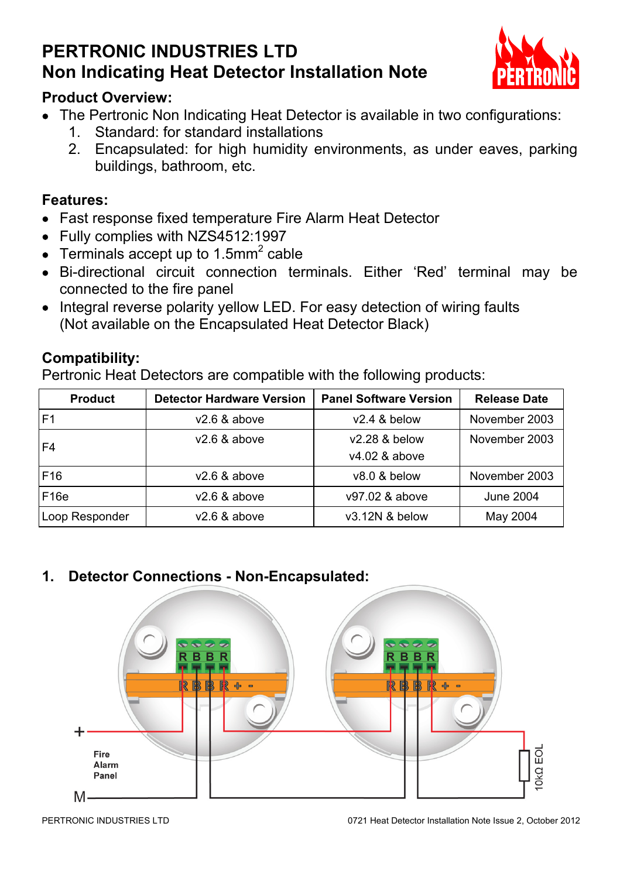# **PERTRONIC INDUSTRIES LTD Non Indicating Heat Detector Installation Note**



### **Product Overview:**

- The Pertronic Non Indicating Heat Detector is available in two configurations:
	- 1. Standard: for standard installations
	- 2. Encapsulated: for high humidity environments, as under eaves, parking buildings, bathroom, etc.

#### **Features:**

- Fast response fixed temperature Fire Alarm Heat Detector
- Fully complies with NZS4512:1997
- Terminals accept up to 1.5mm<sup>2</sup> cable
- Bi-directional circuit connection terminals. Either 'Red' terminal may be connected to the fire panel
- Integral reverse polarity yellow LED. For easy detection of wiring faults (Not available on the Encapsulated Heat Detector Black)

#### **Compatibility:**

Pertronic Heat Detectors are compatible with the following products:

| Product        | <b>Detector Hardware Version</b> | <b>Panel Software Version</b> | <b>Release Date</b> |
|----------------|----------------------------------|-------------------------------|---------------------|
| F <sub>1</sub> | $v2.6$ & above                   | $v2.4$ & below                | November 2003       |
| F <sub>4</sub> | $v2.6$ & above                   | v2.28 & below                 | November 2003       |
|                |                                  | v4.02 & above                 |                     |
| F16            | $v2.6$ & above                   | v8.0 & below                  | November 2003       |
| F16e           | $v2.6$ & above                   | v97.02 & above                | June 2004           |
| Loop Responder | $v2.6$ & above                   | v3.12N & below                | May 2004            |

### **1. Detector Connections - Non-Encapsulated:**